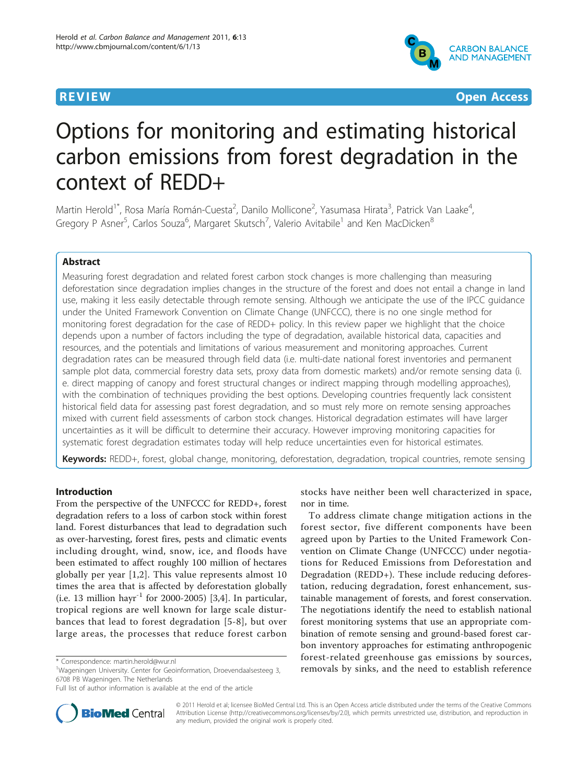



**REVIEW CONTROL** CONTROL CONTROL CONTROL CONTROL CONTROL CONTROL CONTROL CONTROL CONTROL CONTROL CONTROL CONTROL CONTROL CONTROL CONTROL CONTROL CONTROL CONTROL CONTROL CONTROL CONTROL CONTROL CONTROL CONTROL CONTROL CONTR

# Options for monitoring and estimating historical carbon emissions from forest degradation in the context of REDD+

Martin Herold<sup>1\*</sup>, Rosa María Román-Cuesta<sup>2</sup>, Danilo Mollicone<sup>2</sup>, Yasumasa Hirata<sup>3</sup>, Patrick Van Laake<sup>4</sup> , Gregory P Asner<sup>5</sup>, Carlos Souza<sup>6</sup>, Margaret Skutsch<sup>7</sup>, Valerio Avitabile<sup>1</sup> and Ken MacDicken<sup>8</sup>

# Abstract

Measuring forest degradation and related forest carbon stock changes is more challenging than measuring deforestation since degradation implies changes in the structure of the forest and does not entail a change in land use, making it less easily detectable through remote sensing. Although we anticipate the use of the IPCC guidance under the United Framework Convention on Climate Change (UNFCCC), there is no one single method for monitoring forest degradation for the case of REDD+ policy. In this review paper we highlight that the choice depends upon a number of factors including the type of degradation, available historical data, capacities and resources, and the potentials and limitations of various measurement and monitoring approaches. Current degradation rates can be measured through field data (i.e. multi-date national forest inventories and permanent sample plot data, commercial forestry data sets, proxy data from domestic markets) and/or remote sensing data (i. e. direct mapping of canopy and forest structural changes or indirect mapping through modelling approaches), with the combination of techniques providing the best options. Developing countries frequently lack consistent historical field data for assessing past forest degradation, and so must rely more on remote sensing approaches mixed with current field assessments of carbon stock changes. Historical degradation estimates will have larger uncertainties as it will be difficult to determine their accuracy. However improving monitoring capacities for systematic forest degradation estimates today will help reduce uncertainties even for historical estimates.

Keywords: REDD+, forest, global change, monitoring, deforestation, degradation, tropical countries, remote sensing

## Introduction

From the perspective of the UNFCCC for REDD+, forest degradation refers to a loss of carbon stock within forest land. Forest disturbances that lead to degradation such as over-harvesting, forest fires, pests and climatic events including drought, wind, snow, ice, and floods have been estimated to affect roughly 100 million of hectares globally per year [[1,2](#page-5-0)]. This value represents almost 10 times the area that is affected by deforestation globally (i.e. 13 million hayr<sup>-1</sup> for 2000-2005) [[3,4\]](#page-5-0). In particular, tropical regions are well known for large scale disturbances that lead to forest degradation [\[5-8\]](#page-5-0), but over large areas, the processes that reduce forest carbon



To address climate change mitigation actions in the forest sector, five different components have been agreed upon by Parties to the United Framework Convention on Climate Change (UNFCCC) under negotiations for Reduced Emissions from Deforestation and Degradation (REDD+). These include reducing deforestation, reducing degradation, forest enhancement, sustainable management of forests, and forest conservation. The negotiations identify the need to establish national forest monitoring systems that use an appropriate combination of remote sensing and ground-based forest carbon inventory approaches for estimating anthropogenic forest-related greenhouse gas emissions by sources, removals by sources,<br>Interference greenhouse gas emissions by sources,<br>I removals by sinks, and the need to establish reference \* complement and the need to establish reference



© 2011 Herold et al; licensee BioMed Central Ltd. This is an Open Access article distributed under the terms of the Creative Commons Attribution License [\(http://creativecommons.org/licenses/by/2.0](http://creativecommons.org/licenses/by/2.0)), which permits unrestricted use, distribution, and reproduction in any medium, provided the original work is properly cited.

<sup>&</sup>lt;sup>1</sup>Wageningen University. Center for Geoinformation, Droevendaalsesteeg 3, 6708 PB Wageningen. The Netherlands

Full list of author information is available at the end of the article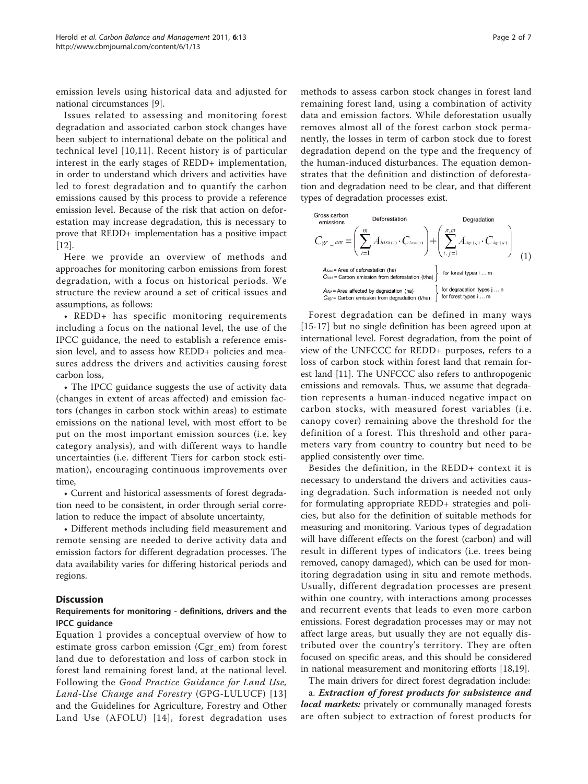emission levels using historical data and adjusted for national circumstances [[9\]](#page-5-0).

Issues related to assessing and monitoring forest degradation and associated carbon stock changes have been subject to international debate on the political and technical level [\[10,11\]](#page-5-0). Recent history is of particular interest in the early stages of REDD+ implementation, in order to understand which drivers and activities have led to forest degradation and to quantify the carbon emissions caused by this process to provide a reference emission level. Because of the risk that action on deforestation may increase degradation, this is necessary to prove that REDD+ implementation has a positive impact [[12\]](#page-5-0).

Here we provide an overview of methods and approaches for monitoring carbon emissions from forest degradation, with a focus on historical periods. We structure the review around a set of critical issues and assumptions, as follows:

• REDD+ has specific monitoring requirements including a focus on the national level, the use of the IPCC guidance, the need to establish a reference emission level, and to assess how REDD+ policies and measures address the drivers and activities causing forest carbon loss,

• The IPCC guidance suggests the use of activity data (changes in extent of areas affected) and emission factors (changes in carbon stock within areas) to estimate emissions on the national level, with most effort to be put on the most important emission sources (i.e. key category analysis), and with different ways to handle uncertainties (i.e. different Tiers for carbon stock estimation), encouraging continuous improvements over time,

• Current and historical assessments of forest degradation need to be consistent, in order through serial correlation to reduce the impact of absolute uncertainty,

• Different methods including field measurement and remote sensing are needed to derive activity data and emission factors for different degradation processes. The data availability varies for differing historical periods and regions.

## **Discussion**

## Requirements for monitoring - definitions, drivers and the IPCC guidance

Equation 1 provides a conceptual overview of how to estimate gross carbon emission (Cgr\_em) from forest land due to deforestation and loss of carbon stock in forest land remaining forest land, at the national level. Following the Good Practice Guidance for Land Use, Land-Use Change and Forestry (GPG-LULUCF) [[13](#page-5-0)] and the Guidelines for Agriculture, Forestry and Other Land Use (AFOLU) [[14](#page-5-0)], forest degradation uses methods to assess carbon stock changes in forest land remaining forest land, using a combination of activity data and emission factors. While deforestation usually removes almost all of the forest carbon stock permanently, the losses in term of carbon stock due to forest degradation depend on the type and the frequency of the human-induced disturbances. The equation demonstrates that the definition and distinction of deforestation and degradation need to be clear, and that different types of degradation processes exist.



Forest degradation can be defined in many ways [[15-17](#page-5-0)] but no single definition has been agreed upon at international level. Forest degradation, from the point of view of the UNFCCC for REDD+ purposes, refers to a loss of carbon stock within forest land that remain forest land [\[11\]](#page-5-0). The UNFCCC also refers to anthropogenic emissions and removals. Thus, we assume that degradation represents a human-induced negative impact on carbon stocks, with measured forest variables (i.e. canopy cover) remaining above the threshold for the definition of a forest. This threshold and other parameters vary from country to country but need to be applied consistently over time.

Besides the definition, in the REDD+ context it is necessary to understand the drivers and activities causing degradation. Such information is needed not only for formulating appropriate REDD+ strategies and policies, but also for the definition of suitable methods for measuring and monitoring. Various types of degradation will have different effects on the forest (carbon) and will result in different types of indicators (i.e. trees being removed, canopy damaged), which can be used for monitoring degradation using in situ and remote methods. Usually, different degradation processes are present within one country, with interactions among processes and recurrent events that leads to even more carbon emissions. Forest degradation processes may or may not affect large areas, but usually they are not equally distributed over the country's territory. They are often focused on specific areas, and this should be considered in national measurement and monitoring efforts [\[18,19](#page-5-0)].

The main drivers for direct forest degradation include: a. Extraction of forest products for subsistence and *local markets:* privately or communally managed forests are often subject to extraction of forest products for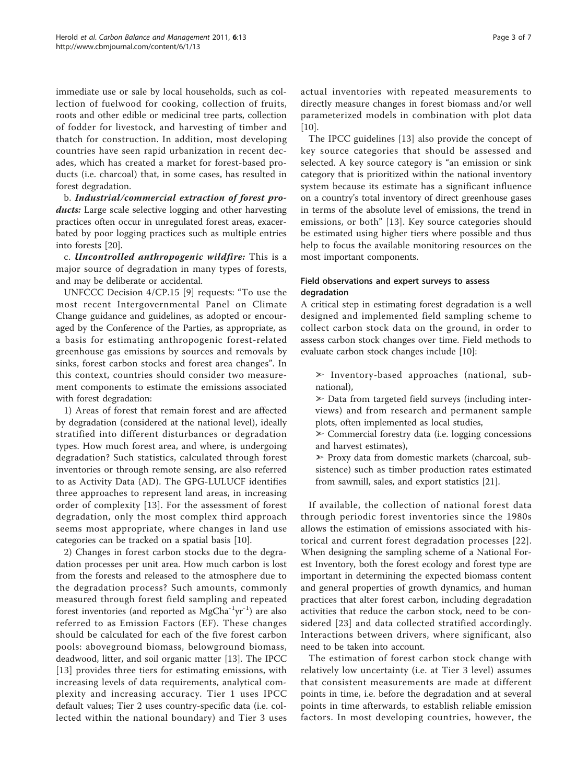immediate use or sale by local households, such as collection of fuelwood for cooking, collection of fruits, roots and other edible or medicinal tree parts, collection of fodder for livestock, and harvesting of timber and thatch for construction. In addition, most developing countries have seen rapid urbanization in recent decades, which has created a market for forest-based products (i.e. charcoal) that, in some cases, has resulted in forest degradation.

b. Industrial/commercial extraction of forest products: Large scale selective logging and other harvesting practices often occur in unregulated forest areas, exacerbated by poor logging practices such as multiple entries into forests [\[20\]](#page-5-0).

c. Uncontrolled anthropogenic wildfire: This is a major source of degradation in many types of forests, and may be deliberate or accidental.

UNFCCC Decision 4/CP.15 [[9\]](#page-5-0) requests: "To use the most recent Intergovernmental Panel on Climate Change guidance and guidelines, as adopted or encouraged by the Conference of the Parties, as appropriate, as a basis for estimating anthropogenic forest-related greenhouse gas emissions by sources and removals by sinks, forest carbon stocks and forest area changes". In this context, countries should consider two measurement components to estimate the emissions associated with forest degradation:

1) Areas of forest that remain forest and are affected by degradation (considered at the national level), ideally stratified into different disturbances or degradation types. How much forest area, and where, is undergoing degradation? Such statistics, calculated through forest inventories or through remote sensing, are also referred to as Activity Data (AD). The GPG-LULUCF identifies three approaches to represent land areas, in increasing order of complexity [[13](#page-5-0)]. For the assessment of forest degradation, only the most complex third approach seems most appropriate, where changes in land use categories can be tracked on a spatial basis [\[10\]](#page-5-0).

2) Changes in forest carbon stocks due to the degradation processes per unit area. How much carbon is lost from the forests and released to the atmosphere due to the degradation process? Such amounts, commonly measured through forest field sampling and repeated forest inventories (and reported as  $MgCha^{-1}yr^{-1}$ ) are also referred to as Emission Factors (EF). These changes should be calculated for each of the five forest carbon pools: aboveground biomass, belowground biomass, deadwood, litter, and soil organic matter [[13](#page-5-0)]. The IPCC [[13](#page-5-0)] provides three tiers for estimating emissions, with increasing levels of data requirements, analytical complexity and increasing accuracy. Tier 1 uses IPCC default values; Tier 2 uses country-specific data (i.e. collected within the national boundary) and Tier 3 uses actual inventories with repeated measurements to directly measure changes in forest biomass and/or well parameterized models in combination with plot data [[10\]](#page-5-0).

The IPCC guidelines [[13\]](#page-5-0) also provide the concept of key source categories that should be assessed and selected. A key source category is "an emission or sink category that is prioritized within the national inventory system because its estimate has a significant influence on a country's total inventory of direct greenhouse gases in terms of the absolute level of emissions, the trend in emissions, or both" [\[13\]](#page-5-0). Key source categories should be estimated using higher tiers where possible and thus help to focus the available monitoring resources on the most important components.

## Field observations and expert surveys to assess degradation

A critical step in estimating forest degradation is a well designed and implemented field sampling scheme to collect carbon stock data on the ground, in order to assess carbon stock changes over time. Field methods to evaluate carbon stock changes include [\[10\]](#page-5-0):

➣ Inventory-based approaches (national, subnational),

➣ Data from targeted field surveys (including interviews) and from research and permanent sample plots, often implemented as local studies,

➣ Commercial forestry data (i.e. logging concessions and harvest estimates),

 $\triangleright$  Proxy data from domestic markets (charcoal, subsistence) such as timber production rates estimated from sawmill, sales, and export statistics [[21](#page-5-0)].

If available, the collection of national forest data through periodic forest inventories since the 1980s allows the estimation of emissions associated with historical and current forest degradation processes [[22\]](#page-5-0). When designing the sampling scheme of a National Forest Inventory, both the forest ecology and forest type are important in determining the expected biomass content and general properties of growth dynamics, and human practices that alter forest carbon, including degradation activities that reduce the carbon stock, need to be considered [[23](#page-5-0)] and data collected stratified accordingly. Interactions between drivers, where significant, also need to be taken into account.

The estimation of forest carbon stock change with relatively low uncertainty (i.e. at Tier 3 level) assumes that consistent measurements are made at different points in time, i.e. before the degradation and at several points in time afterwards, to establish reliable emission factors. In most developing countries, however, the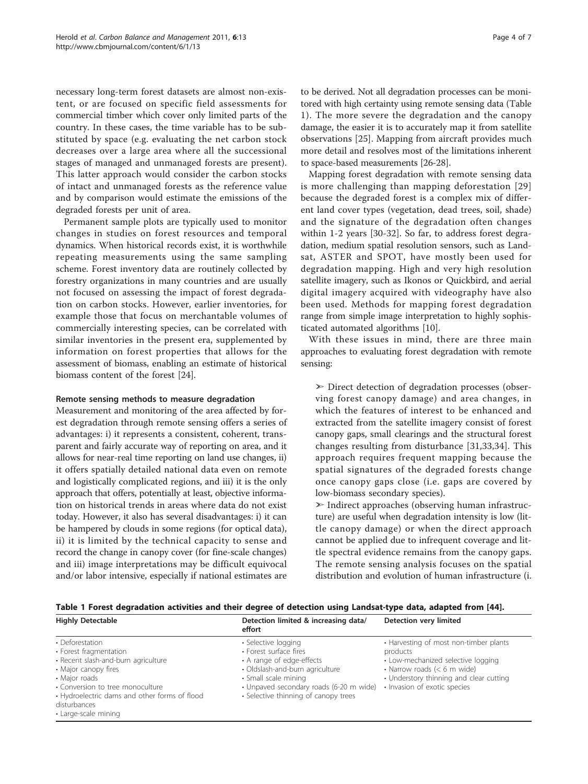necessary long-term forest datasets are almost non-existent, or are focused on specific field assessments for commercial timber which cover only limited parts of the country. In these cases, the time variable has to be substituted by space (e.g. evaluating the net carbon stock decreases over a large area where all the successional stages of managed and unmanaged forests are present). This latter approach would consider the carbon stocks of intact and unmanaged forests as the reference value and by comparison would estimate the emissions of the degraded forests per unit of area.

Permanent sample plots are typically used to monitor changes in studies on forest resources and temporal dynamics. When historical records exist, it is worthwhile repeating measurements using the same sampling scheme. Forest inventory data are routinely collected by forestry organizations in many countries and are usually not focused on assessing the impact of forest degradation on carbon stocks. However, earlier inventories, for example those that focus on merchantable volumes of commercially interesting species, can be correlated with similar inventories in the present era, supplemented by information on forest properties that allows for the assessment of biomass, enabling an estimate of historical biomass content of the forest [\[24](#page-5-0)].

## Remote sensing methods to measure degradation

Measurement and monitoring of the area affected by forest degradation through remote sensing offers a series of advantages: i) it represents a consistent, coherent, transparent and fairly accurate way of reporting on area, and it allows for near-real time reporting on land use changes, ii) it offers spatially detailed national data even on remote and logistically complicated regions, and iii) it is the only approach that offers, potentially at least, objective information on historical trends in areas where data do not exist today. However, it also has several disadvantages: i) it can be hampered by clouds in some regions (for optical data), ii) it is limited by the technical capacity to sense and record the change in canopy cover (for fine-scale changes) and iii) image interpretations may be difficult equivocal and/or labor intensive, especially if national estimates are to be derived. Not all degradation processes can be monitored with high certainty using remote sensing data (Table 1). The more severe the degradation and the canopy damage, the easier it is to accurately map it from satellite observations [[25\]](#page-5-0). Mapping from aircraft provides much more detail and resolves most of the limitations inherent to space-based measurements [[26-28\]](#page-6-0).

Mapping forest degradation with remote sensing data is more challenging than mapping deforestation [[29](#page-6-0)] because the degraded forest is a complex mix of different land cover types (vegetation, dead trees, soil, shade) and the signature of the degradation often changes within 1-2 years [\[30](#page-6-0)-[32\]](#page-6-0). So far, to address forest degradation, medium spatial resolution sensors, such as Landsat, ASTER and SPOT, have mostly been used for degradation mapping. High and very high resolution satellite imagery, such as Ikonos or Quickbird, and aerial digital imagery acquired with videography have also been used. Methods for mapping forest degradation range from simple image interpretation to highly sophisticated automated algorithms [\[10\]](#page-5-0).

With these issues in mind, there are three main approaches to evaluating forest degradation with remote sensing:

➣ Direct detection of degradation processes (observing forest canopy damage) and area changes, in which the features of interest to be enhanced and extracted from the satellite imagery consist of forest canopy gaps, small clearings and the structural forest changes resulting from disturbance [\[31](#page-6-0),[33,34](#page-6-0)]. This approach requires frequent mapping because the spatial signatures of the degraded forests change once canopy gaps close (i.e. gaps are covered by low-biomass secondary species).

➣ Indirect approaches (observing human infrastructure) are useful when degradation intensity is low (little canopy damage) or when the direct approach cannot be applied due to infrequent coverage and little spectral evidence remains from the canopy gaps. The remote sensing analysis focuses on the spatial distribution and evolution of human infrastructure (i.

Table 1 Forest degradation activities and their degree of detection using Landsat-type data, adapted from [\[44\]](#page-6-0).

| <b>Highly Detectable</b>                                                                                                                                                                                                                               | Detection limited & increasing data/<br>effort                                                                                                                                                                           | <b>Detection very limited</b>                                                                                                                                                                            |
|--------------------------------------------------------------------------------------------------------------------------------------------------------------------------------------------------------------------------------------------------------|--------------------------------------------------------------------------------------------------------------------------------------------------------------------------------------------------------------------------|----------------------------------------------------------------------------------------------------------------------------------------------------------------------------------------------------------|
| • Deforestation<br>• Forest fragmentation<br>• Recent slash-and-burn agriculture<br>• Major canopy fires<br>• Major roads<br>• Conversion to tree monoculture<br>• Hydroelectric dams and other forms of flood<br>disturbances<br>• Large-scale mining | · Selective logging<br>• Forest surface fires<br>• A range of edge-effects<br>· Oldslash-and-burn agriculture<br>· Small scale mining<br>• Unpaved secondary roads (6-20 m wide)<br>• Selective thinning of canopy trees | • Harvesting of most non-timber plants<br>products<br>• Low-mechanized selective logging<br>$\cdot$ Narrow roads (< 6 m wide)<br>• Understory thinning and clear cutting<br>· Invasion of exotic species |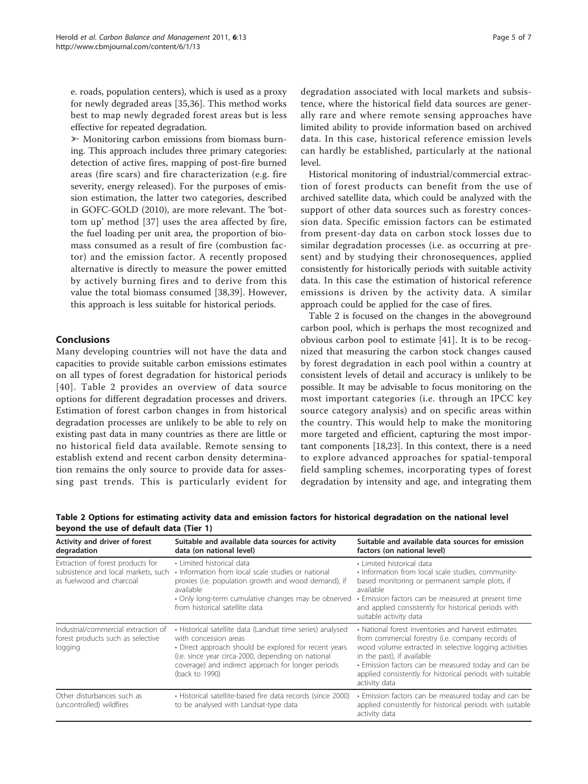e. roads, population centers), which is used as a proxy for newly degraded areas [\[35,36](#page-6-0)]. This method works best to map newly degraded forest areas but is less effective for repeated degradation.

➣ Monitoring carbon emissions from biomass burning. This approach includes three primary categories: detection of active fires, mapping of post-fire burned areas (fire scars) and fire characterization (e.g. fire severity, energy released). For the purposes of emission estimation, the latter two categories, described in GOFC-GOLD (2010), are more relevant. The 'bottom up' method [[37\]](#page-6-0) uses the area affected by fire, the fuel loading per unit area, the proportion of biomass consumed as a result of fire (combustion factor) and the emission factor. A recently proposed alternative is directly to measure the power emitted by actively burning fires and to derive from this value the total biomass consumed [[38,39\]](#page-6-0). However, this approach is less suitable for historical periods.

## Conclusions

Many developing countries will not have the data and capacities to provide suitable carbon emissions estimates on all types of forest degradation for historical periods [[40](#page-6-0)]. Table 2 provides an overview of data source options for different degradation processes and drivers. Estimation of forest carbon changes in from historical degradation processes are unlikely to be able to rely on existing past data in many countries as there are little or no historical field data available. Remote sensing to establish extend and recent carbon density determination remains the only source to provide data for assessing past trends. This is particularly evident for degradation associated with local markets and subsistence, where the historical field data sources are generally rare and where remote sensing approaches have limited ability to provide information based on archived data. In this case, historical reference emission levels can hardly be established, particularly at the national level.

Historical monitoring of industrial/commercial extraction of forest products can benefit from the use of archived satellite data, which could be analyzed with the support of other data sources such as forestry concession data. Specific emission factors can be estimated from present-day data on carbon stock losses due to similar degradation processes (i.e. as occurring at present) and by studying their chronosequences, applied consistently for historically periods with suitable activity data. In this case the estimation of historical reference emissions is driven by the activity data. A similar approach could be applied for the case of fires.

Table 2 is focused on the changes in the aboveground carbon pool, which is perhaps the most recognized and obvious carbon pool to estimate [[41](#page-6-0)]. It is to be recognized that measuring the carbon stock changes caused by forest degradation in each pool within a country at consistent levels of detail and accuracy is unlikely to be possible. It may be advisable to focus monitoring on the most important categories (i.e. through an IPCC key source category analysis) and on specific areas within the country. This would help to make the monitoring more targeted and efficient, capturing the most important components [[18,23\]](#page-5-0). In this context, there is a need to explore advanced approaches for spatial-temporal field sampling schemes, incorporating types of forest degradation by intensity and age, and integrating them

Table 2 Options for estimating activity data and emission factors for historical degradation on the national level beyond the use of default data (Tier 1)

| Activity and driver of forest<br>degradation                                                         | Suitable and available data sources for activity<br>data (on national level)                                                                                                                                                                                                                     | Suitable and available data sources for emission<br>factors (on national level)                                                                                                                                                                                                                                                      |
|------------------------------------------------------------------------------------------------------|--------------------------------------------------------------------------------------------------------------------------------------------------------------------------------------------------------------------------------------------------------------------------------------------------|--------------------------------------------------------------------------------------------------------------------------------------------------------------------------------------------------------------------------------------------------------------------------------------------------------------------------------------|
| Extraction of forest products for<br>subsistence and local markets, such<br>as fuelwood and charcoal | • Limited historical data<br>• Information from local scale studies or national<br>proxies (i.e. population growth and wood demand), if<br>available<br>• Only long-term cumulative changes may be observed • Emission factors can be measured at present time<br>from historical satellite data | • Limited historical data<br>• Information from local scale studies, community-<br>based monitoring or permanent sample plots, if<br>available<br>and applied consistently for historical periods with<br>suitable activity data                                                                                                     |
| Industrial/commercial extraction of<br>forest products such as selective<br>logging                  | • Historical satellite data (Landsat time series) analysed<br>with concession areas<br>• Direct approach should be explored for recent years<br>(i.e. since year circa-2000, depending on national<br>coverage) and indirect approach for longer periods<br>(back to 1990)                       | • National forest inventories and harvest estimates<br>from commercial forestry (i.e. company records of<br>wood volume extracted in selective logging activities<br>in the past), if available<br>• Emission factors can be measured today and can be<br>applied consistently for historical periods with suitable<br>activity data |
| Other disturbances such as<br>(uncontrolled) wildfires                                               | • Historical satellite-based fire data records (since 2000)<br>to be analysed with Landsat-type data                                                                                                                                                                                             | • Emission factors can be measured today and can be<br>applied consistently for historical periods with suitable<br>activity data                                                                                                                                                                                                    |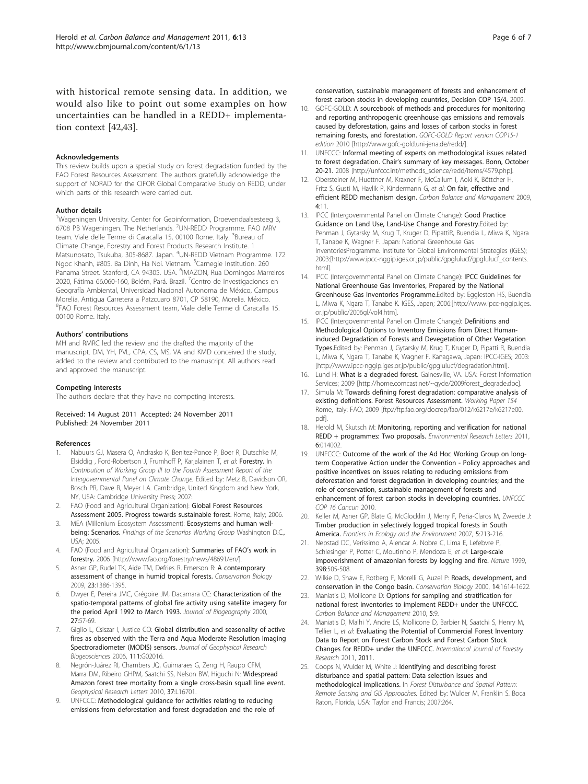<span id="page-5-0"></span>with historical remote sensing data. In addition, we would also like to point out some examples on how uncertainties can be handled in a REDD+ implementation context [[42,43](#page-6-0)].

#### Acknowledgements

This review builds upon a special study on forest degradation funded by the FAO Forest Resources Assessment. The authors gratefully acknowledge the support of NORAD for the CIFOR Global Comparative Study on REDD, under which parts of this research were carried out.

#### Author details

<sup>1</sup>Wageningen University. Center for Geoinformation, Droevendaalsesteeg 3, 6708 PB Wageningen. The Netherlands. <sup>2</sup>UN-REDD Programme. FAO MRV team. Viale delle Terme di Caracalla 15, 00100 Rome. Italy. <sup>3</sup>Bureau of Climate Change, Forestry and Forest Products Research Institute. 1 Matsunosato, Tsukuba, 305-8687. Japan. <sup>4</sup>UN-REDD Vietnam Programme. 172 Ngoc Khanh, #805. Ba Dinh, Ha Noi. Vietnam. <sup>5</sup>Carnegie Institution. 260 Panama Street. Stanford, CA 94305. USA. <sup>6</sup>IMAZON, Rua Domingos Marreiros 2020, Fátima 66.060-160, Belém, Pará. Brazil. <sup>7</sup>Centro de Investigaciones en Geografía Ambiental, Universidad Nacional Autonoma de México, Campus Morelia, Antigua Carretera a Patzcuaro 8701, CP 58190, Morelia. México. <sup>8</sup>FAO Forest Resources Assessment team, Viale delle Terme di Caracalla 15. 00100 Rome. Italy.

#### Authors' contributions

MH and RMRC led the review and the drafted the majority of the manuscript. DM, YH, PVL, GPA, CS, MS, VA and KMD conceived the study, added to the review and contributed to the manuscript. All authors read and approved the manuscript.

#### Competing interests

The authors declare that they have no competing interests.

Received: 14 August 2011 Accepted: 24 November 2011 Published: 24 November 2011

#### References

- 1. Nabuurs GJ, Masera O, Andrasko K, Benitez-Ponce P, Boer R, Dutschke M, Elsiddig , Ford-Robertson J, Frumhoff P, Karjalainen T, et al: Forestry. In Contribution of Working Group III to the Fourth Assessment Report of the Intergovernmental Panel on Climate Change. Edited by: Metz B, Davidson OR, Bosch PR, Dave R, Meyer LA. Cambridge, United Kingdom and New York, NY, USA: Cambridge University Press; 2007:.
- FAO (Food and Agricultural Organization): Global Forest Resources Assessment 2005. Progress towards sustainable forest. Rome, Italy; 2006.
- 3. MEA (Millenium Ecosystem Assessment): Ecosystems and human wellbeing: Scenarios. Findings of the Scenarios Working Group Washington D.C., USA; 2005.
- 4. FAO (Food and Agricultural Organization): Summaries of FAO's work in forestry. 2006 [[http://www.fao.org/forestry/news/48691/en/\]](http://www.fao.org/forestry/news/48691/en/).
- 5. Asner GP, Rudel TK, Aide TM, Defries R, Emerson R: [A contemporary](http://www.ncbi.nlm.nih.gov/pubmed/20078639?dopt=Abstract) [assessment of change in humid tropical forests.](http://www.ncbi.nlm.nih.gov/pubmed/20078639?dopt=Abstract) Conservation Biology 2009, 23:1386-1395.
- Dwyer E, Pereira JMC, Grégoire JM, Dacamara CC: Characterization of the spatio-temporal patterns of global fire activity using satellite imagery for the period April 1992 to March 1993. Journal of Biogeography 2000, 27:57-69.
- 7. Giglio L, Csiszar I, Justice CO: Global distribution and seasonality of active fires as observed with the Terra and Aqua Moderate Resolution Imaging Spectroradiometer (MODIS) sensors. Journal of Geophysical Research Biogeosciences 2006, 111:G02016.
- 8. Negrón-Juárez RI, Chambers JQ, Guimaraes G, Zeng H, Raupp CFM, Marra DM, Ribeiro GHPM, Saatchi SS, Nelson BW, Higuchi N: Widespread Amazon forest tree mortality from a single cross-basin squall line event. Geophysical Research Letters 2010, 37:L16701.
- 9. UNFCCC: Methodological guidance for activities relating to reducing emissions from deforestation and forest degradation and the role of

conservation, sustainable management of forests and enhancement of forest carbon stocks in developing countries, Decision COP 15/4. 2009.

- 10. GOFC-GOLD: A sourcebook of methods and procedures for monitoring and reporting anthropogenic greenhouse gas emissions and removals caused by deforestation, gains and losses of carbon stocks in forest remaining forests, and forestation. GOFC-GOLD Report version COP15-1 edition 2010 [\[http://www.gofc-gold.uni-jena.de/redd/\]](http://www.gofc-gold.uni-jena.de/redd/).
- 11. UNFCCC: Informal meeting of experts on methodological issues related to forest degradation. Chair's summary of key messages. Bonn, October 20-21. 2008 [[http://unfccc.int/methods\\_science/redd/items/4579.php](http://unfccc.int/methods_science/redd/items/4579.php)].
- 12. Obersteiner M, Huettner M, Kraxner F, McCallum I, Aoki K, Böttcher H, Fritz S, Gusti M, Havlik P, Kindermann G, et al: [On fair, effective and](http://www.ncbi.nlm.nih.gov/pubmed/19943927?dopt=Abstract) [efficient REDD mechanism design.](http://www.ncbi.nlm.nih.gov/pubmed/19943927?dopt=Abstract) Carbon Balance and Management 2009, 4:11.
- 13. IPCC (Intergovernmental Panel on Climate Change): Good Practice Guidance on Land Use, Land-Use Change and Forestry.Edited by: Penman J, Gytarsky M, Krug T, Kruger D, PipattiR, Buendia L, Miwa K, Ngara T, Tanabe K, Wagner F. Japan: National Greenhouse Gas InventoriesProgramme. Institute for Global Environmental Strategies (IGES); 2003:[\[http://www.ipcc-nggip.iges.or.jp/public/gpglulucf/gpglulucf\\_contents.](http://www.ipcc-nggip.iges.or.jp/public/gpglulucf/gpglulucf_contents.html) [html\]](http://www.ipcc-nggip.iges.or.jp/public/gpglulucf/gpglulucf_contents.html).
- 14. IPCC (Intergovernmental Panel on Climate Change): IPCC Guidelines for National Greenhouse Gas Inventories, Prepared by the National Greenhouse Gas Inventories Programme.Edited by: Eggleston HS, Buendia L, Miwa K, Ngara T, Tanabe K. IGES, Japan; 2006:[\[http://www.ipcc-nggip.iges.](http://www.ipcc-nggip.iges.or.jp/public/2006gl/vol4.htm) [or.jp/public/2006gl/vol4.htm](http://www.ipcc-nggip.iges.or.jp/public/2006gl/vol4.htm)].
- 15. IPCC (Intergovernmental Panel on Climate Change): Definitions and Methodological Options to Inventory Emissions from Direct Humaninduced Degradation of Forests and Devegetation of Other Vegetation Types.Edited by: Penman J, Gytarsky M, Krug T, Kruger D, Pipatti R, Buendia L, Miwa K, Ngara T, Tanabe K, Wagner F. Kanagawa, Japan: IPCC-IGES; 2003: [[http://www.ipcc-nggip.iges.or.jp/public/gpglulucf/degradation.html\]](http://www.ipcc-nggip.iges.or.jp/public/gpglulucf/degradation.html).
- 16. Lund H: What is a degraded forest. Gainesville, VA. USA: Forest Information Services; 2009 [[http://home.comcast.net/~gyde/2009forest\\_degrade.doc](http://home.comcast.net/~gyde/2009forest_degrade.doc)].
- 17. Simula M: Towards defining forest degradation: comparative analysis of existing definitions. Forest Resources Assessment. Working Paper 154 Rome, Italy: FAO; 2009 [\[ftp://ftp.fao.org/docrep/fao/012/k6217e/k6217e00.](ftp://ftp.fao.org/docrep/fao/012/k6217e/k6217e00.pdf) [pdf](ftp://ftp.fao.org/docrep/fao/012/k6217e/k6217e00.pdf)].
- 18. Herold M, Skutsch M: Monitoring, reporting and verification for national REDD + programmes: Two proposals. Environmental Research Letters 2011, 6:014002.
- 19. UNFCCC: Outcome of the work of the Ad Hoc Working Group on longterm Cooperative Action under the Convention - Policy approaches and positive incentives on issues relating to reducing emissions from deforestation and forest degradation in developing countries; and the role of conservation, sustainable management of forests and enhancement of forest carbon stocks in developing countries. UNFCCC COP 16 Cancun 2010.
- 20. Keller M, Asner GP, Blate G, McGlocklin J, Merry F, Peña-Claros M, Zweede J: Timber production in selectively logged tropical forests in South America. Frontiers in Ecology and the Environment 2007, 5:213-216.
- 21. Nepstad DC, Veríssimo A, Alencar A, Nobre C, Lima E, Lefebvre P, Schlesinger P, Potter C, Moutinho P, Mendoza E, et al: Large-scale impoverishment of amazonian forests by logging and fire. Nature 1999, 398:505-508.
- 22. Wilkie D, Shaw E, Rotberg F, Morelli G, Auzel P: Roads, development, and conservation in the Congo basin. Conservation Biology 2000, 14:1614-1622.
- 23. Maniatis D, Mollicone D: [Options for sampling and stratification for](http://www.ncbi.nlm.nih.gov/pubmed/21187009?dopt=Abstract) [national forest inventories to implement REDD+ under the UNFCCC.](http://www.ncbi.nlm.nih.gov/pubmed/21187009?dopt=Abstract) Carbon Balance and Management 2010, 5:9.
- 24. Maniatis D, Malhi Y, Andre LS, Mollicone D, Barbier N, Saatchi S, Henry M, Tellier L, et al: Evaluating the Potential of Commercial Forest Inventory Data to Report on Forest Carbon Stock and Forest Carbon Stock Changes for REDD+ under the UNFCCC. International Journal of Forestry Research 2011, 2011.
- 25. Coops N, Wulder M, White J: Identifying and describing forest disturbance and spatial pattern: Data selection issues and methodological implications. In Forest Disturbance and Spatial Pattern: Remote Sensing and GIS Approaches. Edited by: Wulder M, Franklin S. Boca Raton, Florida, USA: Taylor and Francis; 2007:264.